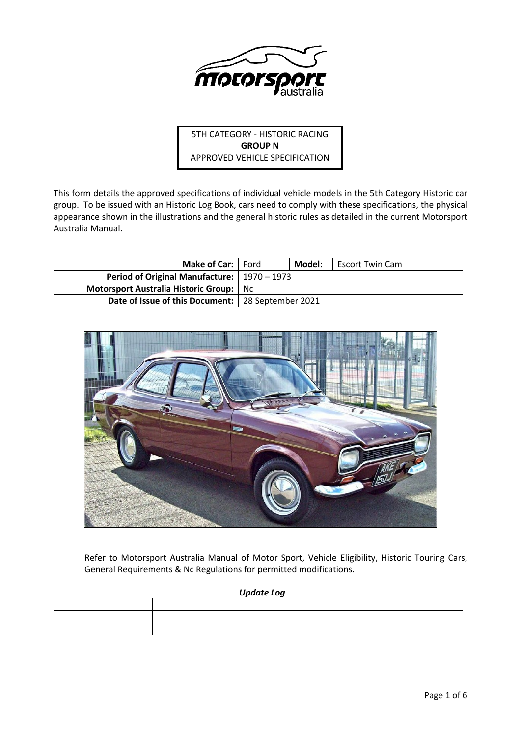

5TH CATEGORY - HISTORIC RACING **GROUP N** APPROVED VEHICLE SPECIFICATION

This form details the approved specifications of individual vehicle models in the 5th Category Historic car group. To be issued with an Historic Log Book, cars need to comply with these specifications, the physical appearance shown in the illustrations and the general historic rules as detailed in the current Motorsport Australia Manual.

| <b>Make of Car:</b> Ford                            | Model: | Escort Twin Cam |
|-----------------------------------------------------|--------|-----------------|
| Period of Original Manufacture:   1970 – 1973       |        |                 |
| Motorsport Australia Historic Group: No             |        |                 |
| Date of Issue of this Document:   28 September 2021 |        |                 |



Refer to Motorsport Australia Manual of Motor Sport, Vehicle Eligibility, Historic Touring Cars, General Requirements & Nc Regulations for permitted modifications.

# *Update Log*

| the contract of the contract of the con- |  |
|------------------------------------------|--|
|                                          |  |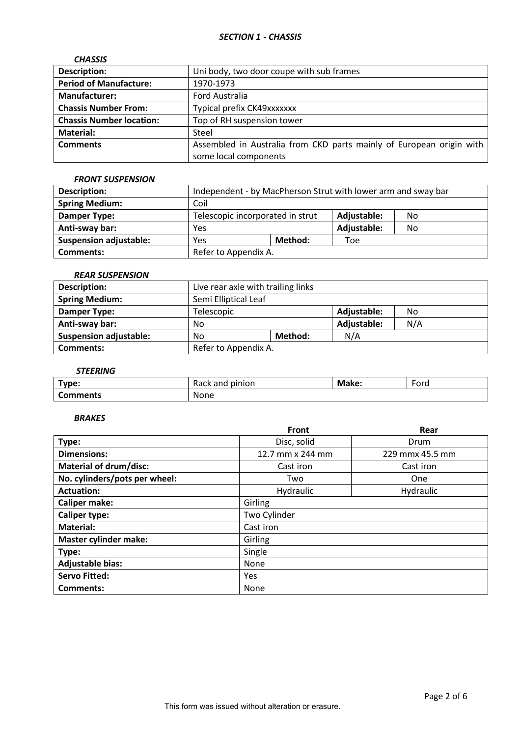# *SECTION 1 - CHASSIS*

| <b>CHASSIS</b>                  |                                                                      |
|---------------------------------|----------------------------------------------------------------------|
| <b>Description:</b>             | Uni body, two door coupe with sub frames                             |
| <b>Period of Manufacture:</b>   | 1970-1973                                                            |
| <b>Manufacturer:</b>            | Ford Australia                                                       |
| <b>Chassis Number From:</b>     | Typical prefix CK49xxxxxxx                                           |
| <b>Chassis Number location:</b> | Top of RH suspension tower                                           |
| <b>Material:</b>                | Steel                                                                |
| <b>Comments</b>                 | Assembled in Australia from CKD parts mainly of European origin with |
|                                 | some local components                                                |

### *FRONT SUSPENSION*

| <b>Description:</b>           | Independent - by MacPherson Strut with lower arm and sway bar |         |             |    |
|-------------------------------|---------------------------------------------------------------|---------|-------------|----|
| <b>Spring Medium:</b>         | Coil                                                          |         |             |    |
| Damper Type:                  | Telescopic incorporated in strut<br>Adjustable:<br>No         |         |             |    |
| Anti-sway bar:                | Yes                                                           |         | Adjustable: | No |
| <b>Suspension adjustable:</b> | Yes                                                           | Method: | Toe         |    |
| <b>Comments:</b>              | Refer to Appendix A.                                          |         |             |    |

# *REAR SUSPENSION*

| <b>Description:</b>           | Live rear axle with trailing links |  |             |     |
|-------------------------------|------------------------------------|--|-------------|-----|
| <b>Spring Medium:</b>         | Semi Elliptical Leaf               |  |             |     |
| Damper Type:                  | Telescopic                         |  | Adjustable: | No  |
| Anti-sway bar:                | No                                 |  | Adjustable: | N/A |
| <b>Suspension adjustable:</b> | Method:<br>No                      |  | N/A         |     |
| Comments:                     | Refer to Appendix A.               |  |             |     |

# *STEERING*

| Type:           | pinion<br>and<br>$\sim$<br>nach | Make: | $\overline{\phantom{0}}$<br>Ford |
|-----------------|---------------------------------|-------|----------------------------------|
| <b>Comments</b> | None                            |       |                                  |

## *BRAKES*

|                               | <b>Front</b>     | Rear            |  |  |
|-------------------------------|------------------|-----------------|--|--|
| Type:                         | Disc, solid      | Drum            |  |  |
| <b>Dimensions:</b>            | 12.7 mm x 244 mm | 229 mmx 45.5 mm |  |  |
| <b>Material of drum/disc:</b> | Cast iron        | Cast iron       |  |  |
| No. cylinders/pots per wheel: | Two              | One             |  |  |
| <b>Actuation:</b>             | Hydraulic        | Hydraulic       |  |  |
| <b>Caliper make:</b>          | Girling          |                 |  |  |
| <b>Caliper type:</b>          | Two Cylinder     |                 |  |  |
| <b>Material:</b>              | Cast iron        |                 |  |  |
| <b>Master cylinder make:</b>  | Girling          |                 |  |  |
| Type:                         | Single           |                 |  |  |
| <b>Adjustable bias:</b>       | None             |                 |  |  |
| <b>Servo Fitted:</b>          | Yes              |                 |  |  |
| Comments:                     | None             |                 |  |  |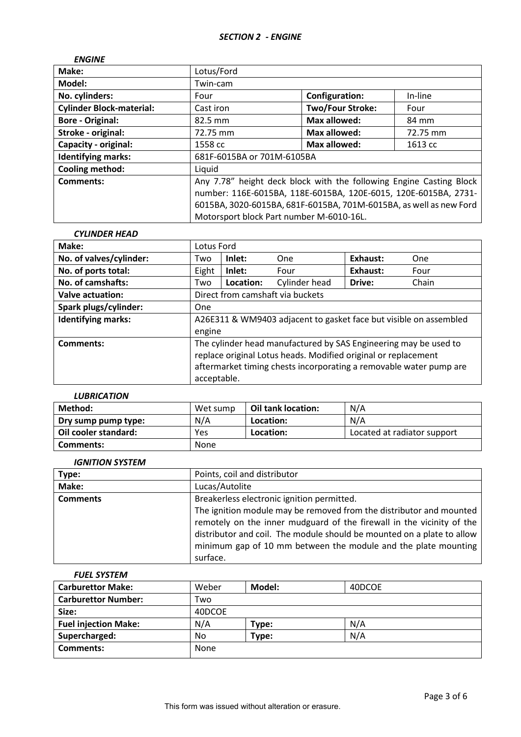| <b>ENGINE</b>                   |                                                                     |                         |          |
|---------------------------------|---------------------------------------------------------------------|-------------------------|----------|
| Make:                           | Lotus/Ford                                                          |                         |          |
| Model:                          | Twin-cam                                                            |                         |          |
| No. cylinders:                  | Four                                                                | <b>Configuration:</b>   | In-line  |
| <b>Cylinder Block-material:</b> | Cast iron                                                           | <b>Two/Four Stroke:</b> | Four     |
| <b>Bore - Original:</b>         | $82.5 \text{ mm}$                                                   | <b>Max allowed:</b>     | 84 mm    |
| Stroke - original:              | 72.75 mm                                                            | <b>Max allowed:</b>     | 72.75 mm |
| Capacity - original:            | 1558 cc                                                             | Max allowed:            | 1613 cc  |
| <b>Identifying marks:</b>       | 681F-6015BA or 701M-6105BA                                          |                         |          |
| <b>Cooling method:</b>          | Liquid                                                              |                         |          |
| Comments:                       | Any 7.78" height deck block with the following Engine Casting Block |                         |          |
|                                 | number: 116E-6015BA, 118E-6015BA, 120E-6015, 120E-6015BA, 2731-     |                         |          |
|                                 | 6015BA, 3020-6015BA, 681F-6015BA, 701M-6015BA, as well as new Ford  |                         |          |
|                                 | Motorsport block Part number M-6010-16L.                            |                         |          |

# *CYLINDER HEAD* **Make:** Lotus Ford **No. of valves/cylinder:** Two **Inlet:** One **Exhaust:** One **No. of ports total:**  $\begin{array}{c|c} \hline \text{Eight} & \text{Inlet:} \\ \hline \end{array}$  Four  $\begin{array}{c|c} \hline \text{Exhaust:} \\ \hline \end{array}$  Four **No. of camshafts:** Two Location: Cylinder head Drive: Chain **Valve actuation:** Direct from camshaft via buckets **Spark plugs/cylinder:** | One **Identifying marks:** A26E311 & WM9403 adjacent to gasket face but visible on assembled engine **Comments:** The cylinder head manufactured by SAS Engineering may be used to replace original Lotus heads. Modified original or replacement aftermarket timing chests incorporating a removable water pump are acceptable.

### *LUBRICATION*

| Method:              | Wet sump | Oil tank location: | N/A                         |
|----------------------|----------|--------------------|-----------------------------|
| Dry sump pump type:  | N/A      | Location:          | N/A                         |
| Oil cooler standard: | Yes      | Location:          | Located at radiator support |
| Comments:            | None     |                    |                             |

### *IGNITION SYSTEM*

| Type:           | Points, coil and distributor                                                                                                                                                                                                                                                                         |
|-----------------|------------------------------------------------------------------------------------------------------------------------------------------------------------------------------------------------------------------------------------------------------------------------------------------------------|
| Make:           | Lucas/Autolite                                                                                                                                                                                                                                                                                       |
| <b>Comments</b> | Breakerless electronic ignition permitted.                                                                                                                                                                                                                                                           |
|                 | The ignition module may be removed from the distributor and mounted<br>remotely on the inner mudguard of the firewall in the vicinity of the<br>distributor and coil. The module should be mounted on a plate to allow<br>minimum gap of 10 mm between the module and the plate mounting<br>surface. |

### *FUEL SYSTEM*

| <b>Carburettor Make:</b>    | Weber  | Model: | 40DCOE |  |
|-----------------------------|--------|--------|--------|--|
| <b>Carburettor Number:</b>  | Two    |        |        |  |
| Size:                       | 40DCOE |        |        |  |
| <b>Fuel injection Make:</b> | N/A    | Type:  | N/A    |  |
| Supercharged:               | No     | Type:  | N/A    |  |
| <b>Comments:</b>            | None   |        |        |  |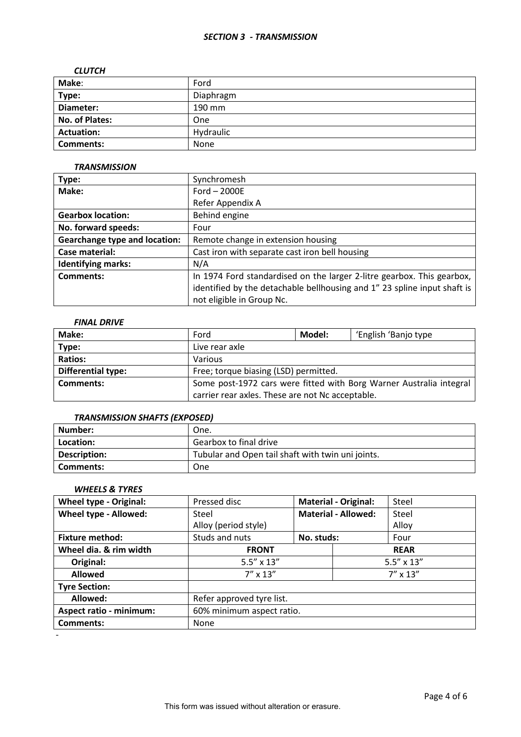### *SECTION 3 - TRANSMISSION*

### *CLUTCH*

| Make:             | Ford      |
|-------------------|-----------|
| Type:             | Diaphragm |
| Diameter:         | 190 mm    |
| No. of Plates:    | One       |
| <b>Actuation:</b> | Hydraulic |
| <b>Comments:</b>  | None      |

### *TRANSMISSION*

| Type:                                | Synchromesh                                                              |  |  |
|--------------------------------------|--------------------------------------------------------------------------|--|--|
| Make:                                | Ford $-2000E$                                                            |  |  |
|                                      | Refer Appendix A                                                         |  |  |
| <b>Gearbox location:</b>             | Behind engine                                                            |  |  |
| No. forward speeds:                  | Four                                                                     |  |  |
| <b>Gearchange type and location:</b> | Remote change in extension housing                                       |  |  |
| Case material:                       | Cast iron with separate cast iron bell housing                           |  |  |
| <b>Identifying marks:</b>            | N/A                                                                      |  |  |
| <b>Comments:</b>                     | In 1974 Ford standardised on the larger 2-litre gearbox. This gearbox,   |  |  |
|                                      | identified by the detachable bellhousing and 1" 23 spline input shaft is |  |  |
|                                      | not eligible in Group Nc.                                                |  |  |

# *FINAL DRIVE*

| Make:                     | Ford                                                                | Model: | 'English 'Banjo type |
|---------------------------|---------------------------------------------------------------------|--------|----------------------|
| Type:                     | Live rear axle                                                      |        |                      |
| <b>Ratios:</b>            | <b>Various</b>                                                      |        |                      |
| <b>Differential type:</b> | Free; torque biasing (LSD) permitted.                               |        |                      |
| Comments:                 | Some post-1972 cars were fitted with Borg Warner Australia integral |        |                      |
|                           | carrier rear axles. These are not Nc acceptable.                    |        |                      |

# *TRANSMISSION SHAFTS (EXPOSED)*

| Number:      | One.                                              |
|--------------|---------------------------------------------------|
| Location:    | Gearbox to final drive                            |
| Description: | Tubular and Open tail shaft with twin uni joints. |
| Comments:    | One                                               |

## *WHEELS & TYRES*

| <b>Wheel type - Original:</b>  | Pressed disc              |            | <b>Material - Original:</b> | Steel               |
|--------------------------------|---------------------------|------------|-----------------------------|---------------------|
| Wheel type - Allowed:          | Steel                     |            | <b>Material - Allowed:</b>  | Steel               |
|                                | Alloy (period style)      |            |                             | Alloy               |
| <b>Fixture method:</b>         | Studs and nuts            | No. studs: |                             | Four                |
| Wheel dia. & rim width         | <b>FRONT</b>              |            | <b>REAR</b>                 |                     |
| Original:                      | $5.5'' \times 13''$       |            |                             | $5.5'' \times 13''$ |
| <b>Allowed</b>                 | $7'' \times 13''$         |            | $7'' \times 13''$           |                     |
| <b>Tyre Section:</b>           |                           |            |                             |                     |
| Allowed:                       | Refer approved tyre list. |            |                             |                     |
| <b>Aspect ratio - minimum:</b> | 60% minimum aspect ratio. |            |                             |                     |
| Comments:                      | None                      |            |                             |                     |

-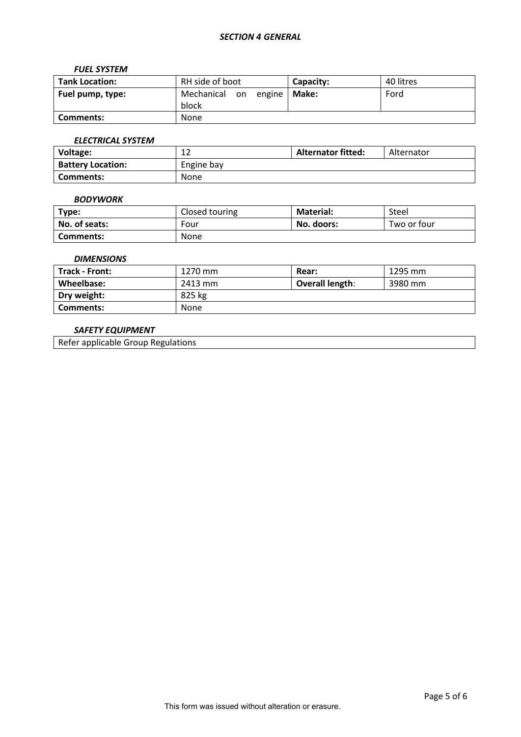### *FUEL SYSTEM*

| <b>Tank Location:</b> | RH side of boot                       | Capacity: | 40 litres |
|-----------------------|---------------------------------------|-----------|-----------|
| Fuel pump, type:      | Mechanical on engine   Make:<br>block |           | Ford      |
| Comments:             | None                                  |           |           |

# *ELECTRICAL SYSTEM*

| Voltage:                 | $\sim$<br>ᅩᄼ | <b>Alternator fitted:</b> | Alternator |
|--------------------------|--------------|---------------------------|------------|
| <b>Battery Location:</b> | Engine bay   |                           |            |
| Comments:                | <b>None</b>  |                           |            |

### *BODYWORK*

| Type:         | Closed touring | <b>Material:</b> | Steel       |
|---------------|----------------|------------------|-------------|
| No. of seats: | Four           | No. doors:       | Two or four |
| Comments:     | <b>None</b>    |                  |             |

### *DIMENSIONS*

| Track - Front: | 1270 mm     | Rear:           | 1295 mm |
|----------------|-------------|-----------------|---------|
| Wheelbase:     | 2413 mm     | Overall length: | 3980 mm |
| Dry weight:    | 825 kg      |                 |         |
| Comments:      | <b>None</b> |                 |         |

# *SAFETY EQUIPMENT*

Refer applicable Group Regulations